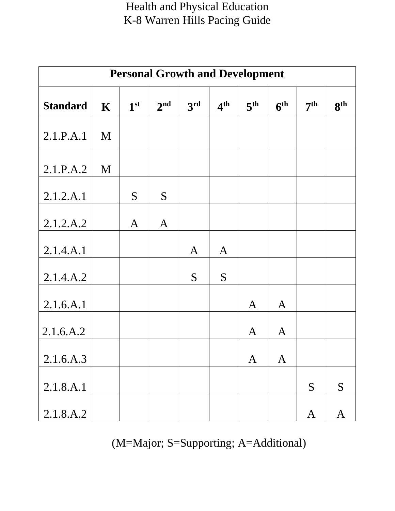| <b>Personal Growth and Development</b> |             |                 |                 |                 |                 |                 |                 |                 |                 |  |
|----------------------------------------|-------------|-----------------|-----------------|-----------------|-----------------|-----------------|-----------------|-----------------|-----------------|--|
| <b>Standard</b>                        | $\mathbf K$ | 1 <sup>st</sup> | 2 <sup>nd</sup> | 3 <sup>rd</sup> | 4 <sup>th</sup> | 5 <sup>th</sup> | 6 <sup>th</sup> | 7 <sup>th</sup> | 8 <sup>th</sup> |  |
| 2.1.P.A.1                              | M           |                 |                 |                 |                 |                 |                 |                 |                 |  |
| 2.1.P.A.2                              | M           |                 |                 |                 |                 |                 |                 |                 |                 |  |
| 2.1.2.A.1                              |             | S               | S               |                 |                 |                 |                 |                 |                 |  |
| 2.1.2.A.2                              |             | $\mathbf{A}$    | $\mathbf{A}$    |                 |                 |                 |                 |                 |                 |  |
| 2.1.4.A.1                              |             |                 |                 | $\mathbf{A}$    | $\mathbf{A}$    |                 |                 |                 |                 |  |
| 2.1.4.A.2                              |             |                 |                 | S               | S               |                 |                 |                 |                 |  |
| 2.1.6.A.1                              |             |                 |                 |                 |                 | $\mathbf{A}$    | $\mathbf{A}$    |                 |                 |  |
| 2.1.6.A.2                              |             |                 |                 |                 |                 | A               | $\mathbf{A}$    |                 |                 |  |
| 2.1.6.A.3                              |             |                 |                 |                 |                 | $\mathbf{A}$    | $\mathbf{A}$    |                 |                 |  |
| 2.1.8.A.1                              |             |                 |                 |                 |                 |                 |                 | S               | S               |  |
| 2.1.8.A.2                              |             |                 |                 |                 |                 |                 |                 | $\mathbf{A}$    | $\mathbf{A}$    |  |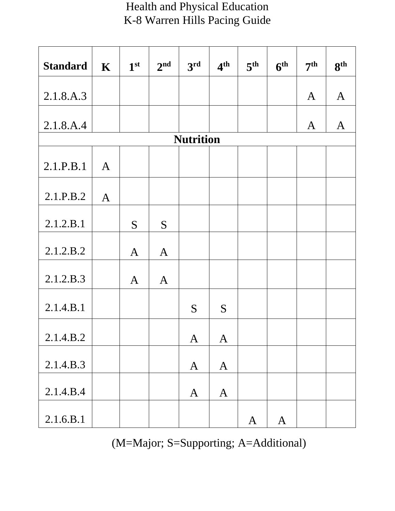| <b>Standard</b>  | $\mathbf K$  | 1 <sup>st</sup> | 2 <sup>nd</sup> | 3 <sup>rd</sup> | 4 <sup>th</sup> | 5 <sup>th</sup> | 6 <sup>th</sup> | 7 <sup>th</sup> | 8 <sup>th</sup> |  |  |
|------------------|--------------|-----------------|-----------------|-----------------|-----------------|-----------------|-----------------|-----------------|-----------------|--|--|
|                  |              |                 |                 |                 |                 |                 |                 |                 |                 |  |  |
| 2.1.8.A.3        |              |                 |                 |                 |                 |                 |                 | $\mathbf{A}$    | $\mathbf{A}$    |  |  |
| 2.1.8.A.4        |              |                 |                 |                 |                 |                 |                 | A               | $\mathbf{A}$    |  |  |
| <b>Nutrition</b> |              |                 |                 |                 |                 |                 |                 |                 |                 |  |  |
| 2.1.P.B.1        | $\mathbf{A}$ |                 |                 |                 |                 |                 |                 |                 |                 |  |  |
| 2.1.P.B.2        | $\mathbf{A}$ |                 |                 |                 |                 |                 |                 |                 |                 |  |  |
| 2.1.2.B.1        |              | S               | S               |                 |                 |                 |                 |                 |                 |  |  |
| 2.1.2.B.2        |              | $\mathbf{A}$    | $\mathbf{A}$    |                 |                 |                 |                 |                 |                 |  |  |
| 2.1.2.B.3        |              | $\mathbf{A}$    | $\mathbf{A}$    |                 |                 |                 |                 |                 |                 |  |  |
| 2.1.4.B.1        |              |                 |                 | S               | S               |                 |                 |                 |                 |  |  |
| 2.1.4.B.2        |              |                 |                 | $\mathbf{A}$    | $\mathbf{A}$    |                 |                 |                 |                 |  |  |
| 2.1.4.B.3        |              |                 |                 | $\mathbf{A}$    | $\mathbf{A}$    |                 |                 |                 |                 |  |  |
| 2.1.4.B.4        |              |                 |                 | $\mathbf{A}$    | $\mathbf{A}$    |                 |                 |                 |                 |  |  |
| 2.1.6.B.1        |              |                 |                 |                 |                 | $\mathbf{A}$    | $\mathbf{A}$    |                 |                 |  |  |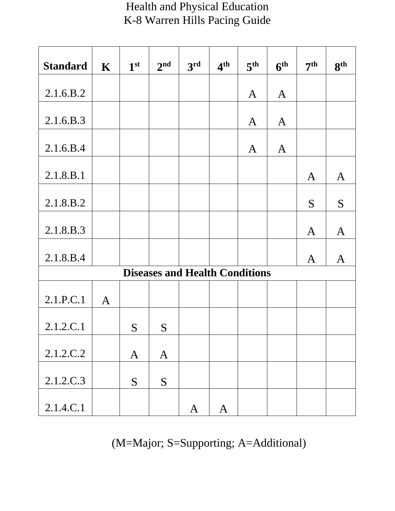| <b>Standard</b> | $\mathbf K$  | 1 <sup>st</sup> | 2 <sup>nd</sup> | 3rd                                   | 4 <sup>th</sup> | 5 <sup>th</sup> | 6 <sup>th</sup> | 7 <sup>th</sup> | 8 <sup>th</sup> |
|-----------------|--------------|-----------------|-----------------|---------------------------------------|-----------------|-----------------|-----------------|-----------------|-----------------|
| 2.1.6.B.2       |              |                 |                 |                                       |                 | $\mathbf{A}$    | $\mathbf{A}$    |                 |                 |
| 2.1.6.B.3       |              |                 |                 |                                       |                 | A               | $\mathbf{A}$    |                 |                 |
| 2.1.6.B.4       |              |                 |                 |                                       |                 | A               | $\mathbf{A}$    |                 |                 |
| 2.1.8.B.1       |              |                 |                 |                                       |                 |                 |                 | A               | $\mathbf{A}$    |
| 2.1.8.B.2       |              |                 |                 |                                       |                 |                 |                 | S               | S               |
| 2.1.8.B.3       |              |                 |                 |                                       |                 |                 |                 | A               | $\mathbf{A}$    |
| 2.1.8.B.4       |              |                 |                 |                                       |                 |                 |                 |                 |                 |
|                 |              |                 |                 | <b>Diseases and Health Conditions</b> |                 |                 |                 | A               | $\mathbf A$     |
| 2.1.P.C.1       | $\mathbf{A}$ |                 |                 |                                       |                 |                 |                 |                 |                 |
| 2.1.2.C.1       |              | S               | S               |                                       |                 |                 |                 |                 |                 |
| 2.1.2.C.2       |              | $\mathbf{A}$    | $\mathbf{A}$    |                                       |                 |                 |                 |                 |                 |
| 2.1.2.C.3       |              | S               | S               |                                       |                 |                 |                 |                 |                 |
| 2.1.4.C.1       |              |                 |                 | $\mathbf{A}$                          | $\mathbf{A}$    |                 |                 |                 |                 |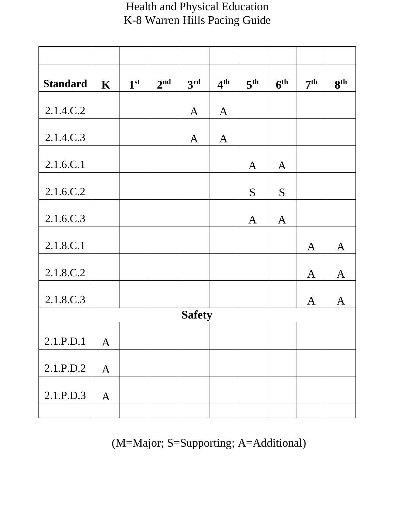| <b>Standard</b> | $\mathbf K$  | 1 <sup>st</sup> | 2 <sup>nd</sup> | 3rd           | 4 <sup>th</sup> | 5 <sup>th</sup> | 6 <sup>th</sup> | 7 <sup>th</sup> | 8 <sup>th</sup> |
|-----------------|--------------|-----------------|-----------------|---------------|-----------------|-----------------|-----------------|-----------------|-----------------|
| 2.1.4.C.2       |              |                 |                 | $\mathbf{A}$  | $\mathbf{A}$    |                 |                 |                 |                 |
| 2.1.4.C.3       |              |                 |                 | $\mathbf{A}$  | $\mathbf{A}$    |                 |                 |                 |                 |
| 2.1.6.C.1       |              |                 |                 |               |                 | $\mathbf{A}$    | $\mathbf{A}$    |                 |                 |
| 2.1.6.C.2       |              |                 |                 |               |                 | S               | S               |                 |                 |
| 2.1.6.C.3       |              |                 |                 |               |                 | $\mathbf{A}$    | $\mathbf{A}$    |                 |                 |
| 2.1.8.C.1       |              |                 |                 |               |                 |                 |                 | $\mathbf{A}$    | $\mathbf{A}$    |
| 2.1.8.C.2       |              |                 |                 |               |                 |                 |                 | $\mathbf{A}$    | $\mathbf{A}$    |
| 2.1.8.C.3       |              |                 |                 |               |                 |                 |                 | A               | A               |
|                 |              |                 |                 | <b>Safety</b> |                 |                 |                 |                 |                 |
| 2.1.P.D.1       | $\mathbf{A}$ |                 |                 |               |                 |                 |                 |                 |                 |
| 2.1.P.D.2       | $\mathbf{A}$ |                 |                 |               |                 |                 |                 |                 |                 |
| 2.1.P.D.3       | $\mathbf{A}$ |                 |                 |               |                 |                 |                 |                 |                 |
|                 |              |                 |                 |               |                 |                 |                 |                 |                 |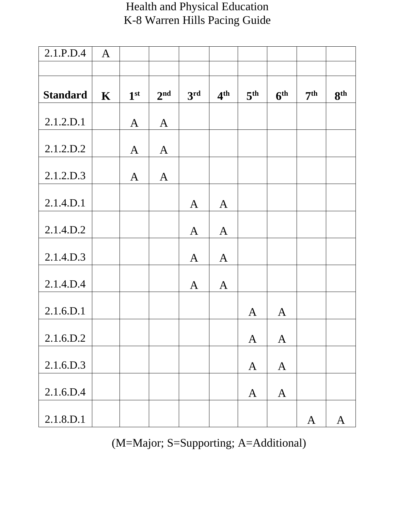| 2.1.P.D.4       | $\mathbf{A}$ |                 |                 |                 |                 |                 |                 |                 |                 |
|-----------------|--------------|-----------------|-----------------|-----------------|-----------------|-----------------|-----------------|-----------------|-----------------|
|                 |              |                 |                 |                 |                 |                 |                 |                 |                 |
| <b>Standard</b> | $\mathbf K$  | 1 <sup>st</sup> | 2 <sup>nd</sup> | 3 <sup>rd</sup> | 4 <sup>th</sup> | 5 <sup>th</sup> | 6 <sup>th</sup> | 7 <sup>th</sup> | 8 <sup>th</sup> |
| 2.1.2.D.1       |              | $\mathbf{A}$    | $\mathbf{A}$    |                 |                 |                 |                 |                 |                 |
| 2.1.2.D.2       |              | $\mathbf{A}$    | $\mathbf{A}$    |                 |                 |                 |                 |                 |                 |
| 2.1.2.D.3       |              | $\mathbf{A}$    | $\mathbf{A}$    |                 |                 |                 |                 |                 |                 |
| 2.1.4.D.1       |              |                 |                 | $\mathbf{A}$    | $\mathbf{A}$    |                 |                 |                 |                 |
| 2.1.4.D.2       |              |                 |                 | $\mathbf{A}$    | $\mathbf{A}$    |                 |                 |                 |                 |
| 2.1.4.D.3       |              |                 |                 | $\mathbf{A}$    | $\mathbf{A}$    |                 |                 |                 |                 |
| 2.1.4.D.4       |              |                 |                 | $\mathbf{A}$    | $\mathbf{A}$    |                 |                 |                 |                 |
| 2.1.6.D.1       |              |                 |                 |                 |                 | A               | $\mathbf{A}$    |                 |                 |
| 2.1.6.D.2       |              |                 |                 |                 |                 | $\mathbf{A}$    | $\mathbf{A}$    |                 |                 |
| 2.1.6.D.3       |              |                 |                 |                 |                 | $\mathbf{A}$    | $\mathbf{A}$    |                 |                 |
| 2.1.6.D.4       |              |                 |                 |                 |                 | $\mathbf{A}$    | $\mathbf{A}$    |                 |                 |
| 2.1.8.D.1       |              |                 |                 |                 |                 |                 |                 | $\mathbf{A}$    | $\mathbf{A}$    |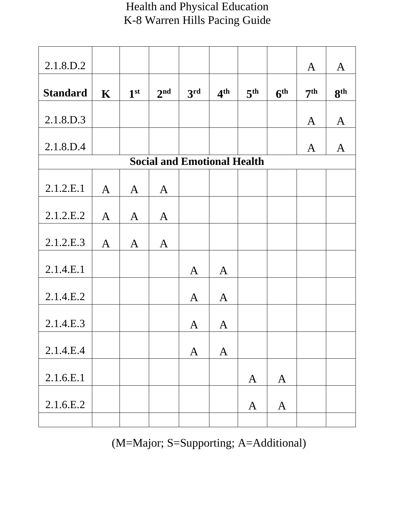| 2.1.8.D.2                          |              |                 |                 |              |                 |                 |                 | A               | $\mathbf{A}$    |  |  |  |
|------------------------------------|--------------|-----------------|-----------------|--------------|-----------------|-----------------|-----------------|-----------------|-----------------|--|--|--|
| <b>Standard</b>                    | $\mathbf K$  | 1 <sup>st</sup> | 2 <sup>nd</sup> | 3rd          | 4 <sup>th</sup> | 5 <sup>th</sup> | 6 <sup>th</sup> | 7 <sup>th</sup> | 8 <sup>th</sup> |  |  |  |
| 2.1.8.D.3                          |              |                 |                 |              |                 |                 |                 | A               | $\mathbf{A}$    |  |  |  |
| 2.1.8.D.4                          |              |                 |                 |              |                 |                 |                 | A               | $\mathbf{A}$    |  |  |  |
| <b>Social and Emotional Health</b> |              |                 |                 |              |                 |                 |                 |                 |                 |  |  |  |
| 2.1.2.E.1                          | $\mathbf{A}$ | $\mathbf{A}$    | $\mathbf{A}$    |              |                 |                 |                 |                 |                 |  |  |  |
| 2.1.2.E.2                          | $\mathbf{A}$ | $\mathbf{A}$    | $\mathbf{A}$    |              |                 |                 |                 |                 |                 |  |  |  |
| 2.1.2.E.3                          | $\mathbf{A}$ | $\mathbf{A}$    | $\mathbf{A}$    |              |                 |                 |                 |                 |                 |  |  |  |
| 2.1.4.E.1                          |              |                 |                 | $\mathbf{A}$ | $\mathbf{A}$    |                 |                 |                 |                 |  |  |  |
| 2.1.4.E.2                          |              |                 |                 | $\mathbf{A}$ | $\mathbf{A}$    |                 |                 |                 |                 |  |  |  |
| 2.1.4.E.3                          |              |                 |                 | A            | $\mathbf{A}$    |                 |                 |                 |                 |  |  |  |
| 2.1.4.E.4                          |              |                 |                 | $\mathbf{A}$ | $\mathbf{A}$    |                 |                 |                 |                 |  |  |  |
| 2.1.6.E.1                          |              |                 |                 |              |                 | $\mathbf{A}$    | $\mathbf{A}$    |                 |                 |  |  |  |
| 2.1.6.E.2                          |              |                 |                 |              |                 | $\mathbf{A}$    | $\mathbf{A}$    |                 |                 |  |  |  |
|                                    |              |                 |                 |              |                 |                 |                 |                 |                 |  |  |  |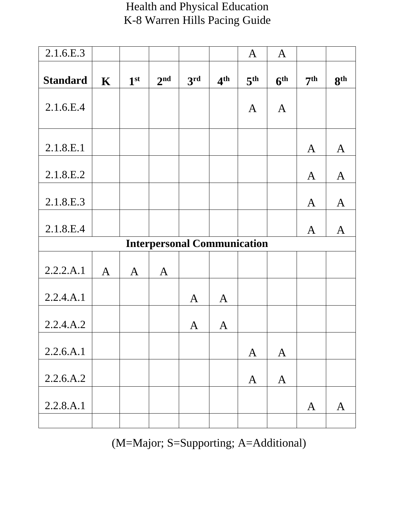| <b>Health and Physical Education</b> |
|--------------------------------------|
| K-8 Warren Hills Pacing Guide        |

| 2.1.6.E.3       |              |                 |                 |                                    |                 | $\mathbf{A}$    | $\mathbf{A}$    |                 |                 |
|-----------------|--------------|-----------------|-----------------|------------------------------------|-----------------|-----------------|-----------------|-----------------|-----------------|
| <b>Standard</b> | $\mathbf K$  | 1 <sup>st</sup> | 2 <sup>nd</sup> | 3rd                                | 4 <sup>th</sup> | 5 <sup>th</sup> | 6 <sup>th</sup> | 7 <sup>th</sup> | 8 <sup>th</sup> |
| 2.1.6.E.4       |              |                 |                 |                                    |                 | A               | $\mathbf{A}$    |                 |                 |
| 2.1.8.E.1       |              |                 |                 |                                    |                 |                 |                 | $\mathbf{A}$    | $\mathbf{A}$    |
| 2.1.8.E.2       |              |                 |                 |                                    |                 |                 |                 | A               | $\mathbf{A}$    |
| 2.1.8.E.3       |              |                 |                 |                                    |                 |                 |                 | $\mathbf{A}$    | $\mathbf{A}$    |
| 2.1.8.E.4       |              |                 |                 |                                    |                 |                 |                 | A               | A               |
|                 |              |                 |                 | <b>Interpersonal Communication</b> |                 |                 |                 |                 |                 |
| 2.2.2.A.1       | $\mathbf{A}$ | $\mathbf{A}$    | $\mathbf{A}$    |                                    |                 |                 |                 |                 |                 |
| 2.2.4.A.1       |              |                 |                 | A                                  | $\mathbf{A}$    |                 |                 |                 |                 |
| 2.2.4.A.2       |              |                 |                 | $\mathbf{A}$                       | $\mathbf{A}$    |                 |                 |                 |                 |
| 2.2.6.A.1       |              |                 |                 |                                    |                 | $\mathbf{A}$    | $\mathbf{A}$    |                 |                 |
| 2.2.6.A.2       |              |                 |                 |                                    |                 | $\mathbf{A}$    | $\mathbf{A}$    |                 |                 |
| 2.2.8.A.1       |              |                 |                 |                                    |                 |                 |                 | A               | $\mathbf{A}$    |
|                 |              |                 |                 |                                    |                 |                 |                 |                 |                 |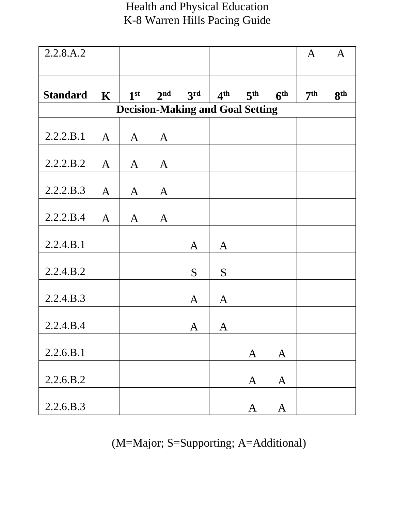| 2.2.8.A.2       |              |                 |                                         |              |                 |                 |                 | $\mathbf{A}$    | $\mathbf{A}$    |
|-----------------|--------------|-----------------|-----------------------------------------|--------------|-----------------|-----------------|-----------------|-----------------|-----------------|
|                 |              |                 |                                         |              |                 |                 |                 |                 |                 |
| <b>Standard</b> | $\mathbf K$  | 1 <sup>st</sup> | 2 <sup>nd</sup>                         | 3rd          | 4 <sup>th</sup> | 5 <sup>th</sup> | 6 <sup>th</sup> | 7 <sup>th</sup> | 8 <sup>th</sup> |
|                 |              |                 | <b>Decision-Making and Goal Setting</b> |              |                 |                 |                 |                 |                 |
| 2.2.2.B.1       | $\mathbf{A}$ | $\mathbf{A}$    | $\mathbf{A}$                            |              |                 |                 |                 |                 |                 |
| 2.2.2.B.2       | $\mathbf{A}$ | $\mathbf{A}$    | $\mathbf{A}$                            |              |                 |                 |                 |                 |                 |
| 2.2.2.B.3       | $\mathbf{A}$ | $\mathbf{A}$    | $\mathbf{A}$                            |              |                 |                 |                 |                 |                 |
| 2.2.2.B.4       | $\mathbf{A}$ | $\mathbf{A}$    | $\mathbf{A}$                            |              |                 |                 |                 |                 |                 |
| 2.2.4.B.1       |              |                 |                                         | $\mathbf{A}$ | $\mathbf{A}$    |                 |                 |                 |                 |
| 2.2.4.B.2       |              |                 |                                         | S            | S               |                 |                 |                 |                 |
| 2.2.4.B.3       |              |                 |                                         | $\mathbf{A}$ | $\mathbf{A}$    |                 |                 |                 |                 |
| 2.2.4.B.4       |              |                 |                                         | A            | A               |                 |                 |                 |                 |
| 2.2.6.B.1       |              |                 |                                         |              |                 | $\mathbf{A}$    | $\mathbf{A}$    |                 |                 |
| 2.2.6.B.2       |              |                 |                                         |              |                 | $\mathbf{A}$    | $\mathbf{A}$    |                 |                 |
| 2.2.6.B.3       |              |                 |                                         |              |                 | $\mathbf{A}$    | $\mathbf{A}$    |                 |                 |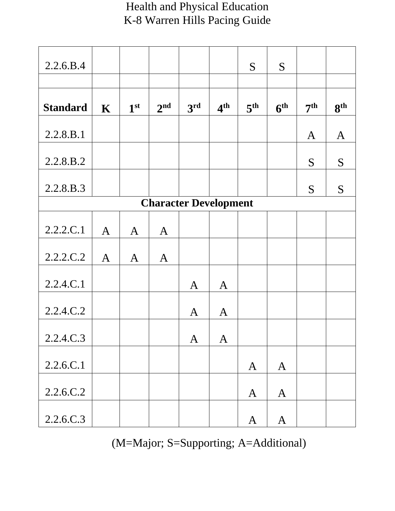| 2.2.6.B.4       |              |                 |                 |                              |                 | S               | S               |                 |                 |
|-----------------|--------------|-----------------|-----------------|------------------------------|-----------------|-----------------|-----------------|-----------------|-----------------|
|                 |              |                 |                 |                              |                 |                 |                 |                 |                 |
| <b>Standard</b> | $\mathbf K$  | 1 <sup>st</sup> | 2 <sup>nd</sup> | 3 <sup>rd</sup>              | 4 <sup>th</sup> | 5 <sup>th</sup> | 6 <sup>th</sup> | 7 <sup>th</sup> | 8 <sup>th</sup> |
| 2.2.8.B.1       |              |                 |                 |                              |                 |                 |                 | $\mathbf{A}$    | $\mathbf{A}$    |
| 2.2.8.B.2       |              |                 |                 |                              |                 |                 |                 | S               | S               |
| 2.2.8.B.3       |              |                 |                 |                              |                 |                 |                 | S               | S               |
|                 |              |                 |                 | <b>Character Development</b> |                 |                 |                 |                 |                 |
| 2.2.2.C.1       | $\mathbf{A}$ | $\mathbf{A}$    | $\mathbf{A}$    |                              |                 |                 |                 |                 |                 |
| 2.2.2.C.2       | $\mathbf{A}$ | $\mathbf{A}$    | $\mathbf{A}$    |                              |                 |                 |                 |                 |                 |
| 2.2.4.C.1       |              |                 |                 | $\mathbf{A}$                 | $\mathbf{A}$    |                 |                 |                 |                 |
| 2.2.4.C.2       |              |                 |                 | $\mathbf{A}$                 | $\mathbf{A}$    |                 |                 |                 |                 |
| 2.2.4.C.3       |              |                 |                 | $\mathbf{A}$                 | $\mathbf{A}$    |                 |                 |                 |                 |
| 2.2.6.C.1       |              |                 |                 |                              |                 | $\mathbf{A}$    | $\mathbf{A}$    |                 |                 |
| 2.2.6.C.2       |              |                 |                 |                              |                 | $\mathbf{A}$    | $\mathbf{A}$    |                 |                 |
| 2.2.6.C.3       |              |                 |                 |                              |                 | $\mathbf{A}$    | $\mathbf{A}$    |                 |                 |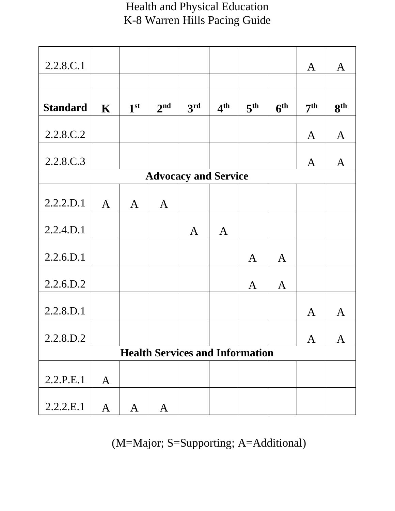| 2.2.8.C.1       |              |                 |                 |                                        |                 |                 |                 | A               | $\mathbf{A}$    |
|-----------------|--------------|-----------------|-----------------|----------------------------------------|-----------------|-----------------|-----------------|-----------------|-----------------|
|                 |              |                 |                 |                                        |                 |                 |                 |                 |                 |
| <b>Standard</b> | $\mathbf K$  | 1 <sup>st</sup> | 2 <sup>nd</sup> | 3rd                                    | 4 <sup>th</sup> | 5 <sup>th</sup> | 6 <sup>th</sup> | 7 <sup>th</sup> | 8 <sup>th</sup> |
| 2.2.8.C.2       |              |                 |                 |                                        |                 |                 |                 | $\mathbf{A}$    | $\mathbf{A}$    |
| 2.2.8.C.3       |              |                 |                 |                                        |                 |                 |                 | A               | $\mathbf{A}$    |
|                 |              |                 |                 | <b>Advocacy and Service</b>            |                 |                 |                 |                 |                 |
| 2.2.2.D.1       | $\mathbf{A}$ | $\mathbf{A}$    | $\mathbf{A}$    |                                        |                 |                 |                 |                 |                 |
| 2.2.4.D.1       |              |                 |                 | $\mathbf{A}$                           | $\mathbf{A}$    |                 |                 |                 |                 |
| 2.2.6.D.1       |              |                 |                 |                                        |                 | $\mathbf{A}$    | $\mathbf{A}$    |                 |                 |
| 2.2.6.D.2       |              |                 |                 |                                        |                 | $\mathbf{A}$    | $\mathbf{A}$    |                 |                 |
| 2.2.8.D.1       |              |                 |                 |                                        |                 |                 |                 | A               | A               |
| 2.2.8.D.2       |              |                 |                 |                                        |                 |                 |                 | A               | A               |
|                 |              |                 |                 | <b>Health Services and Information</b> |                 |                 |                 |                 |                 |
| 2.2.P.E.1       | $\mathbf{A}$ |                 |                 |                                        |                 |                 |                 |                 |                 |
| 2.2.2.E.1       | $\mathbf{A}$ | $\bf{A}$        | A               |                                        |                 |                 |                 |                 |                 |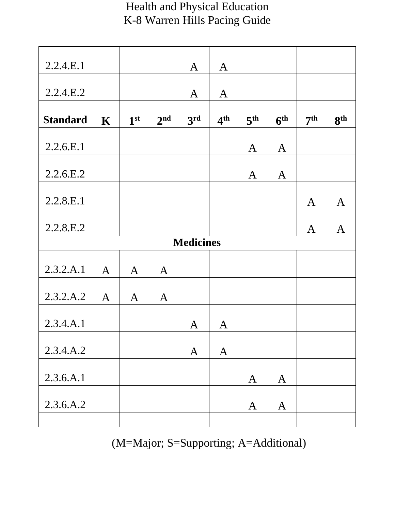| 2.2.4.E.1       |              |                 |                 | $\mathbf{A}$     | $\mathbf{A}$    |                 |                 |                 |                 |
|-----------------|--------------|-----------------|-----------------|------------------|-----------------|-----------------|-----------------|-----------------|-----------------|
| 2.2.4.E.2       |              |                 |                 | $\mathbf{A}$     | $\mathbf{A}$    |                 |                 |                 |                 |
| <b>Standard</b> | $\mathbf K$  | 1 <sup>st</sup> | 2 <sup>nd</sup> | 3 <sup>rd</sup>  | 4 <sup>th</sup> | 5 <sup>th</sup> | 6 <sup>th</sup> | 7 <sup>th</sup> | 8 <sup>th</sup> |
| 2.2.6.E.1       |              |                 |                 |                  |                 | $\mathbf{A}$    | $\mathbf{A}$    |                 |                 |
| 2.2.6.E.2       |              |                 |                 |                  |                 | $\mathbf{A}$    | $\mathbf{A}$    |                 |                 |
| 2.2.8.E.1       |              |                 |                 |                  |                 |                 |                 | $\mathbf{A}$    | $\mathbf{A}$    |
| 2.2.8.E.2       |              |                 |                 |                  |                 |                 |                 | $\mathbf{A}$    | $\mathbf{A}$    |
|                 |              |                 |                 | <b>Medicines</b> |                 |                 |                 |                 |                 |
| 2.3.2.A.1       | $\mathbf{A}$ | $\mathbf{A}$    | $\mathbf{A}$    |                  |                 |                 |                 |                 |                 |
| 2.3.2.A.2       | $\mathbf{A}$ | A               | $\mathbf{A}$    |                  |                 |                 |                 |                 |                 |
| 2.3.4.A.1       |              |                 |                 | $\mathbf{A}$     | $\mathbf{A}$    |                 |                 |                 |                 |
| 2.3.4.A.2       |              |                 |                 | $\mathbf{A}$     | $\mathbf{A}$    |                 |                 |                 |                 |
| 2.3.6.A.1       |              |                 |                 |                  |                 | $\mathbf{A}$    | $\mathbf{A}$    |                 |                 |
| 2.3.6.A.2       |              |                 |                 |                  |                 | $\mathbf{A}$    | $\mathbf{A}$    |                 |                 |
|                 |              |                 |                 |                  |                 |                 |                 |                 |                 |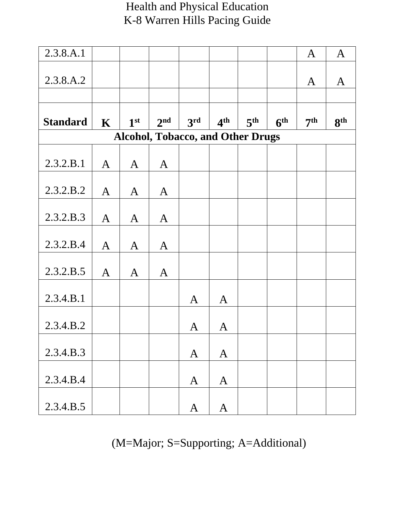| 2.3.8.A.1       |              |                 |                 |                                          |                 |                 |                 | $\mathbf{A}$    | $\mathbf{A}$    |
|-----------------|--------------|-----------------|-----------------|------------------------------------------|-----------------|-----------------|-----------------|-----------------|-----------------|
| 2.3.8.A.2       |              |                 |                 |                                          |                 |                 |                 | A               | $\mathbf{A}$    |
|                 |              |                 |                 |                                          |                 |                 |                 |                 |                 |
| <b>Standard</b> | $\mathbf K$  | 1 <sup>st</sup> | 2 <sup>nd</sup> | 3rd                                      | 4 <sup>th</sup> | 5 <sup>th</sup> | 6 <sup>th</sup> | 7 <sup>th</sup> | 8 <sup>th</sup> |
|                 |              |                 |                 | <b>Alcohol, Tobacco, and Other Drugs</b> |                 |                 |                 |                 |                 |
| 2.3.2.B.1       | $\mathbf{A}$ | $\mathbf{A}$    | $\mathbf{A}$    |                                          |                 |                 |                 |                 |                 |
| 2.3.2.B.2       | $\mathbf{A}$ | $\mathbf{A}$    | $\mathbf{A}$    |                                          |                 |                 |                 |                 |                 |
| 2.3.2.B.3       | $\mathbf{A}$ | $\mathbf{A}$    | $\mathbf{A}$    |                                          |                 |                 |                 |                 |                 |
| 2.3.2.B.4       | $\mathbf{A}$ | $\mathbf{A}$    | $\mathbf{A}$    |                                          |                 |                 |                 |                 |                 |
| 2.3.2.B.5       | $\mathbf{A}$ | $\mathbf{A}$    | $\mathbf{A}$    |                                          |                 |                 |                 |                 |                 |
| 2.3.4.B.1       |              |                 |                 | $\mathbf{A}$                             | $\mathbf{A}$    |                 |                 |                 |                 |
| 2.3.4.B.2       |              |                 |                 | A                                        | A               |                 |                 |                 |                 |
| 2.3.4.B.3       |              |                 |                 | $\mathbf{A}$                             | $\mathbf{A}$    |                 |                 |                 |                 |
| 2.3.4.B.4       |              |                 |                 | $\mathbf{A}$                             | $\mathbf{A}$    |                 |                 |                 |                 |
| 2.3.4.B.5       |              |                 |                 | $\mathbf{A}$                             | $\mathbf{A}$    |                 |                 |                 |                 |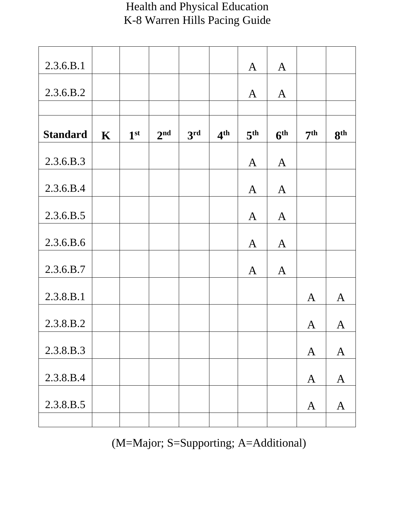| 2.3.6.B.1       |             |                 |                 |                 |                 | $\mathbf{A}$    | $\mathbf{A}$    |                 |                 |
|-----------------|-------------|-----------------|-----------------|-----------------|-----------------|-----------------|-----------------|-----------------|-----------------|
| 2.3.6.B.2       |             |                 |                 |                 |                 | A               | $\mathbf{A}$    |                 |                 |
|                 |             |                 |                 |                 |                 |                 |                 |                 |                 |
| <b>Standard</b> | $\mathbf K$ | 1 <sup>st</sup> | 2 <sup>nd</sup> | 3 <sup>rd</sup> | 4 <sup>th</sup> | 5 <sup>th</sup> | 6 <sup>th</sup> | 7 <sup>th</sup> | 8 <sup>th</sup> |
| 2.3.6.B.3       |             |                 |                 |                 |                 | $\mathbf{A}$    | $\mathbf{A}$    |                 |                 |
| 2.3.6.B.4       |             |                 |                 |                 |                 | $\mathbf{A}$    | $\mathbf{A}$    |                 |                 |
| 2.3.6.B.5       |             |                 |                 |                 |                 | $\mathbf{A}$    | $\mathbf{A}$    |                 |                 |
| 2.3.6.B.6       |             |                 |                 |                 |                 | $\mathbf{A}$    | $\mathbf{A}$    |                 |                 |
| 2.3.6.B.7       |             |                 |                 |                 |                 | $\mathbf{A}$    | $\mathbf{A}$    |                 |                 |
| 2.3.8.B.1       |             |                 |                 |                 |                 |                 |                 | $\mathbf{A}$    | $\overline{A}$  |
| 2.3.8.B.2       |             |                 |                 |                 |                 |                 |                 | A               | A               |
| 2.3.8.B.3       |             |                 |                 |                 |                 |                 |                 | $\mathbf{A}$    | $\mathbf{A}$    |
| 2.3.8.B.4       |             |                 |                 |                 |                 |                 |                 | $\mathbf{A}$    | $\mathbf{A}$    |
| 2.3.8.B.5       |             |                 |                 |                 |                 |                 |                 | A               | $\mathbf{A}$    |
|                 |             |                 |                 |                 |                 |                 |                 |                 |                 |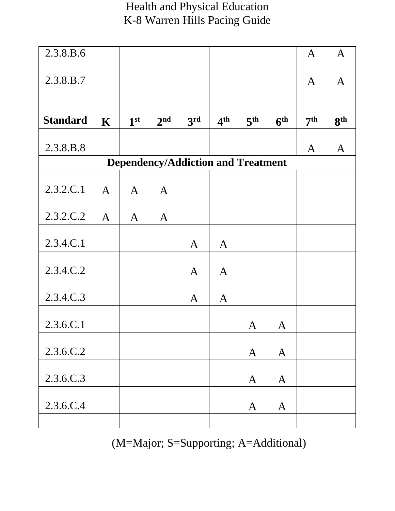| 2.3.8.B.6       |              |                 |                 |                                           |                 |                 |                 | $\mathbf{A}$    | $\mathbf{A}$    |
|-----------------|--------------|-----------------|-----------------|-------------------------------------------|-----------------|-----------------|-----------------|-----------------|-----------------|
|                 |              |                 |                 |                                           |                 |                 |                 |                 |                 |
| 2.3.8.B.7       |              |                 |                 |                                           |                 |                 |                 | A               | $\mathbf{A}$    |
|                 |              |                 |                 |                                           |                 |                 |                 |                 |                 |
| <b>Standard</b> | $\mathbf K$  | 1 <sup>st</sup> | 2 <sup>nd</sup> | 3rd                                       | 4 <sup>th</sup> | 5 <sup>th</sup> | 6 <sup>th</sup> | 7 <sup>th</sup> | 8 <sup>th</sup> |
| 2.3.8.B.8       |              |                 |                 |                                           |                 |                 |                 | A               | $\mathbf{A}$    |
|                 |              |                 |                 | <b>Dependency/Addiction and Treatment</b> |                 |                 |                 |                 |                 |
|                 |              |                 |                 |                                           |                 |                 |                 |                 |                 |
| 2.3.2.C.1       | $\mathbf{A}$ | $\mathbf{A}$    | $\mathbf{A}$    |                                           |                 |                 |                 |                 |                 |
| 2.3.2.C.2       | $\mathbf{A}$ | $\mathbf{A}$    | $\mathbf{A}$    |                                           |                 |                 |                 |                 |                 |
|                 |              |                 |                 |                                           |                 |                 |                 |                 |                 |
| 2.3.4.C.1       |              |                 |                 | $\mathbf{A}$                              | $\mathbf{A}$    |                 |                 |                 |                 |
|                 |              |                 |                 |                                           |                 |                 |                 |                 |                 |
| 2.3.4.C.2       |              |                 |                 | $\mathbf{A}$                              | $\mathbf{A}$    |                 |                 |                 |                 |
| 2.3.4.C.3       |              |                 |                 | $\mathbf{A}$                              | $\mathbf{A}$    |                 |                 |                 |                 |
| 2.3.6.C.1       |              |                 |                 |                                           |                 | A               | A               |                 |                 |
|                 |              |                 |                 |                                           |                 |                 |                 |                 |                 |
| 2.3.6.C.2       |              |                 |                 |                                           |                 | $\mathbf{A}$    | $\mathbf{A}$    |                 |                 |
| 2.3.6.C.3       |              |                 |                 |                                           |                 | $\mathbf{A}$    | $\mathbf{A}$    |                 |                 |
|                 |              |                 |                 |                                           |                 |                 |                 |                 |                 |
| 2.3.6.C.4       |              |                 |                 |                                           |                 | $\mathbf{A}$    | $\mathbf{A}$    |                 |                 |
|                 |              |                 |                 |                                           |                 |                 |                 |                 |                 |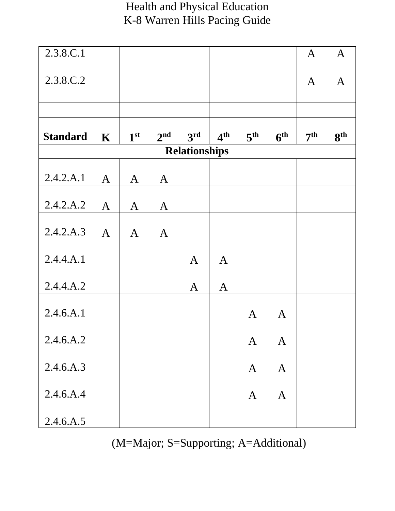| 2.3.8.C.1       |              |                 |                 |                      |                 |                 |                 | $\mathbf{A}$    | $\mathbf{A}$    |
|-----------------|--------------|-----------------|-----------------|----------------------|-----------------|-----------------|-----------------|-----------------|-----------------|
|                 |              |                 |                 |                      |                 |                 |                 |                 |                 |
| 2.3.8.C.2       |              |                 |                 |                      |                 |                 |                 | A               | $\mathbf{A}$    |
|                 |              |                 |                 |                      |                 |                 |                 |                 |                 |
|                 |              |                 |                 |                      |                 |                 |                 |                 |                 |
| <b>Standard</b> | $\mathbf K$  | 1 <sup>st</sup> | 2 <sup>nd</sup> | 3 <sup>rd</sup>      | 4 <sup>th</sup> | 5 <sup>th</sup> | 6 <sup>th</sup> | 7 <sup>th</sup> | 8 <sup>th</sup> |
|                 |              |                 |                 | <b>Relationships</b> |                 |                 |                 |                 |                 |
| 2.4.2.A.1       |              |                 |                 |                      |                 |                 |                 |                 |                 |
|                 | $\mathbf{A}$ | $\mathbf{A}$    | $\mathbf{A}$    |                      |                 |                 |                 |                 |                 |
| 2.4.2.A.2       | $\mathbf{A}$ | $\mathbf{A}$    | $\mathbf{A}$    |                      |                 |                 |                 |                 |                 |
| 2.4.2.A.3       | $\mathbf{A}$ | $\mathbf{A}$    | $\mathbf{A}$    |                      |                 |                 |                 |                 |                 |
|                 |              |                 |                 |                      |                 |                 |                 |                 |                 |
| 2.4.4.A.1       |              |                 |                 | $\mathbf{A}$         | $\mathbf{A}$    |                 |                 |                 |                 |
| 2.4.4.A.2       |              |                 |                 | $\mathbf{A}$         | $\mathbf{A}$    |                 |                 |                 |                 |
|                 |              |                 |                 |                      |                 |                 |                 |                 |                 |
| 2.4.6.A.1       |              |                 |                 |                      |                 | A               | $\mathbf A$     |                 |                 |
| 2.4.6.A.2       |              |                 |                 |                      |                 | $\mathbf{A}$    | $\mathbf{A}$    |                 |                 |
|                 |              |                 |                 |                      |                 |                 |                 |                 |                 |
| 2.4.6.A.3       |              |                 |                 |                      |                 | $\mathbf{A}$    | $\mathbf{A}$    |                 |                 |
| 2.4.6.A.4       |              |                 |                 |                      |                 | $\mathbf{A}$    | $\mathbf{A}$    |                 |                 |
| 2.4.6.A.5       |              |                 |                 |                      |                 |                 |                 |                 |                 |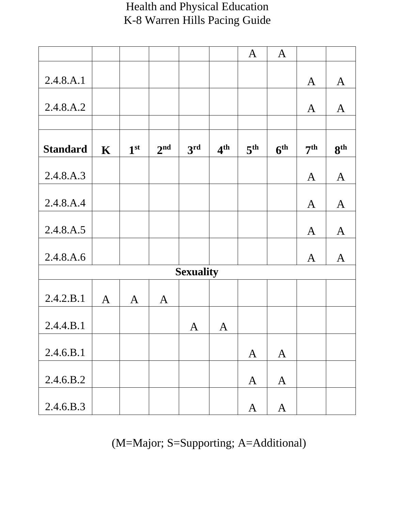|                 |              |                 |                 |                  |                 | $\mathbf{A}$    | $\mathbf{A}$    |                 |                 |
|-----------------|--------------|-----------------|-----------------|------------------|-----------------|-----------------|-----------------|-----------------|-----------------|
|                 |              |                 |                 |                  |                 |                 |                 |                 |                 |
| 2.4.8.A.1       |              |                 |                 |                  |                 |                 |                 | $\mathbf{A}$    | $\mathbf{A}$    |
|                 |              |                 |                 |                  |                 |                 |                 |                 |                 |
| 2.4.8.A.2       |              |                 |                 |                  |                 |                 |                 | $\mathbf{A}$    | $\mathbf{A}$    |
|                 |              |                 |                 |                  |                 |                 |                 |                 |                 |
|                 |              |                 |                 |                  |                 |                 |                 |                 |                 |
| <b>Standard</b> | $\mathbf K$  | 1 <sup>st</sup> | 2 <sup>nd</sup> | 3 <sup>rd</sup>  | 4 <sup>th</sup> | 5 <sup>th</sup> | 6 <sup>th</sup> | 7 <sup>th</sup> | 8 <sup>th</sup> |
|                 |              |                 |                 |                  |                 |                 |                 |                 |                 |
| 2.4.8.A.3       |              |                 |                 |                  |                 |                 |                 |                 |                 |
|                 |              |                 |                 |                  |                 |                 |                 | $\mathbf{A}$    | $\mathbf{A}$    |
|                 |              |                 |                 |                  |                 |                 |                 |                 |                 |
| 2.4.8.A.4       |              |                 |                 |                  |                 |                 |                 | $\mathbf{A}$    | $\mathbf{A}$    |
|                 |              |                 |                 |                  |                 |                 |                 |                 |                 |
| 2.4.8.A.5       |              |                 |                 |                  |                 |                 |                 | $\mathbf{A}$    | $\mathbf{A}$    |
|                 |              |                 |                 |                  |                 |                 |                 |                 |                 |
| 2.4.8.A.6       |              |                 |                 |                  |                 |                 |                 | $\mathbf{A}$    | $\mathbf{A}$    |
|                 |              |                 |                 | <b>Sexuality</b> |                 |                 |                 |                 |                 |
|                 |              |                 |                 |                  |                 |                 |                 |                 |                 |
| 2.4.2.B.1       | $\mathbf{A}$ | $\mathbf{A}$    | $\mathbf{A}$    |                  |                 |                 |                 |                 |                 |
|                 |              |                 |                 |                  |                 |                 |                 |                 |                 |
| 2.4.4.B.1       |              |                 |                 | A                | $\mathbf{A}$    |                 |                 |                 |                 |
|                 |              |                 |                 |                  |                 |                 |                 |                 |                 |
| 2.4.6.B.1       |              |                 |                 |                  |                 | $\mathbf{A}$    | $\mathbf{A}$    |                 |                 |
|                 |              |                 |                 |                  |                 |                 |                 |                 |                 |
| 2.4.6.B.2       |              |                 |                 |                  |                 |                 |                 |                 |                 |
|                 |              |                 |                 |                  |                 | $\mathbf{A}$    | $\mathbf{A}$    |                 |                 |
|                 |              |                 |                 |                  |                 |                 |                 |                 |                 |
| 2.4.6.B.3       |              |                 |                 |                  |                 | $\mathbf{A}$    | $\mathbf{A}$    |                 |                 |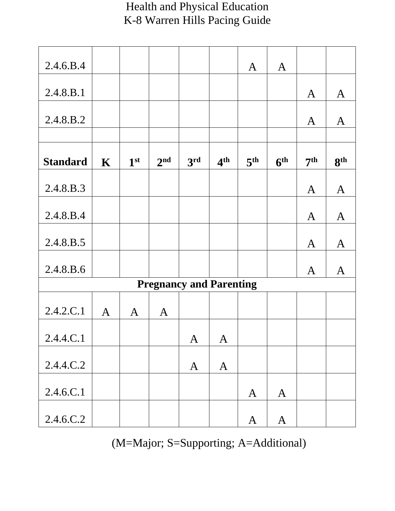| 2.4.6.B.4       |              |                 |                 |                                |                 | $\mathbf{A}$    | $\mathbf{A}$    |                 |                 |
|-----------------|--------------|-----------------|-----------------|--------------------------------|-----------------|-----------------|-----------------|-----------------|-----------------|
|                 |              |                 |                 |                                |                 |                 |                 |                 |                 |
| 2.4.8.B.1       |              |                 |                 |                                |                 |                 |                 | A               | $\mathbf{A}$    |
| 2.4.8.B.2       |              |                 |                 |                                |                 |                 |                 | A               | $\mathbf{A}$    |
|                 |              |                 |                 |                                |                 |                 |                 |                 |                 |
| <b>Standard</b> | $\mathbf K$  | 1 <sup>st</sup> | 2 <sup>nd</sup> | 3rd                            | 4 <sup>th</sup> | 5 <sup>th</sup> | 6 <sup>th</sup> | 7 <sup>th</sup> | 8 <sup>th</sup> |
| 2.4.8.B.3       |              |                 |                 |                                |                 |                 |                 | $\mathbf{A}$    | $\mathbf{A}$    |
| 2.4.8.B.4       |              |                 |                 |                                |                 |                 |                 | $\mathbf{A}$    | $\mathbf{A}$    |
| 2.4.8.B.5       |              |                 |                 |                                |                 |                 |                 | $\mathbf{A}$    | $\mathbf{A}$    |
| 2.4.8.B.6       |              |                 |                 |                                |                 |                 |                 | A               | $\mathbf A$     |
|                 |              |                 |                 | <b>Pregnancy and Parenting</b> |                 |                 |                 |                 |                 |
| 2.4.2.C.1       | $\mathbf{A}$ | $\mathbf{A}$    | $\mathbf{A}$    |                                |                 |                 |                 |                 |                 |
| 2.4.4.C.1       |              |                 |                 | $\mathbf{A}$                   | $\mathbf{A}$    |                 |                 |                 |                 |
| 2.4.4.C.2       |              |                 |                 | $\mathbf{A}$                   | $\mathbf{A}$    |                 |                 |                 |                 |
| 2.4.6.C.1       |              |                 |                 |                                |                 | $\mathbf{A}$    | $\mathbf{A}$    |                 |                 |
| 2.4.6.C.2       |              |                 |                 |                                |                 | $\mathbf{A}$    | $\mathbf{A}$    |                 |                 |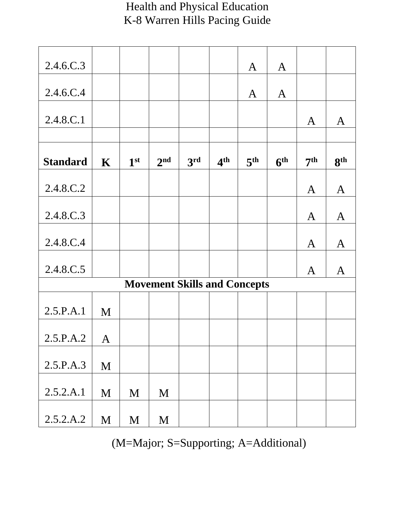| 2.4.6.C.3       |              |                 |                 |                                     |                 |                 |                 |                 |                 |
|-----------------|--------------|-----------------|-----------------|-------------------------------------|-----------------|-----------------|-----------------|-----------------|-----------------|
|                 |              |                 |                 |                                     |                 | A               | $\mathbf{A}$    |                 |                 |
| 2.4.6.C.4       |              |                 |                 |                                     |                 | A               | $\mathbf{A}$    |                 |                 |
| 2.4.8.C.1       |              |                 |                 |                                     |                 |                 |                 | A               | $\mathbf{A}$    |
|                 |              |                 |                 |                                     |                 |                 |                 |                 |                 |
| <b>Standard</b> | $\mathbf K$  | 1 <sup>st</sup> | 2 <sup>nd</sup> | 3rd                                 | 4 <sup>th</sup> | 5 <sup>th</sup> | 6 <sup>th</sup> | 7 <sup>th</sup> | 8 <sup>th</sup> |
| 2.4.8.C.2       |              |                 |                 |                                     |                 |                 |                 | $\mathbf{A}$    | $\mathbf{A}$    |
| 2.4.8.C.3       |              |                 |                 |                                     |                 |                 |                 | $\mathbf{A}$    | $\mathbf{A}$    |
| 2.4.8.C.4       |              |                 |                 |                                     |                 |                 |                 | $\mathbf{A}$    | $\mathbf{A}$    |
| 2.4.8.C.5       |              |                 |                 |                                     |                 |                 |                 | A               | A               |
|                 |              |                 |                 | <b>Movement Skills and Concepts</b> |                 |                 |                 |                 |                 |
| 2.5.P.A.1       | M            |                 |                 |                                     |                 |                 |                 |                 |                 |
| 2.5.P.A.2       | $\mathbf{A}$ |                 |                 |                                     |                 |                 |                 |                 |                 |
| 2.5.P.A.3       | M            |                 |                 |                                     |                 |                 |                 |                 |                 |
| 2.5.2.A.1       | $\mathbf M$  | M               | M               |                                     |                 |                 |                 |                 |                 |
| 2.5.2.A.2       | M            | M               | M               |                                     |                 |                 |                 |                 |                 |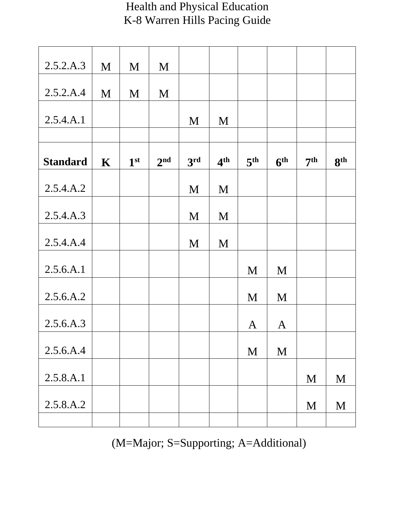| 2.5.2.A.3       | M           | M               | M               |     |                 |                 |                 |                 |                 |
|-----------------|-------------|-----------------|-----------------|-----|-----------------|-----------------|-----------------|-----------------|-----------------|
|                 |             |                 |                 |     |                 |                 |                 |                 |                 |
| 2.5.2.A.4       | M           | M               | M               |     |                 |                 |                 |                 |                 |
| 2.5.4.A.1       |             |                 |                 | M   | M               |                 |                 |                 |                 |
|                 |             |                 |                 |     |                 |                 |                 |                 |                 |
| <b>Standard</b> | $\mathbf K$ | 1 <sup>st</sup> | 2 <sup>nd</sup> | 3rd | 4 <sup>th</sup> | 5 <sup>th</sup> | 6 <sup>th</sup> | 7 <sup>th</sup> | 8 <sup>th</sup> |
| 2.5.4.A.2       |             |                 |                 | M   | M               |                 |                 |                 |                 |
| 2.5.4.A.3       |             |                 |                 | M   | M               |                 |                 |                 |                 |
| 2.5.4.A.4       |             |                 |                 | M   | M               |                 |                 |                 |                 |
| 2.5.6.A.1       |             |                 |                 |     |                 | M               | M               |                 |                 |
| 2.5.6.A.2       |             |                 |                 |     |                 | M               | M               |                 |                 |
| 2.5.6.A.3       |             |                 |                 |     |                 | A               | $\mathbf{A}$    |                 |                 |
| 2.5.6.A.4       |             |                 |                 |     |                 | M               | M               |                 |                 |
| 2.5.8.A.1       |             |                 |                 |     |                 |                 |                 | M               | M               |
| 2.5.8.A.2       |             |                 |                 |     |                 |                 |                 | M               | M               |
|                 |             |                 |                 |     |                 |                 |                 |                 |                 |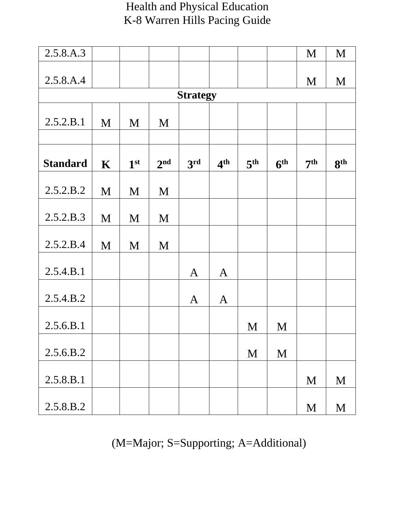| 2.5.8.A.3       |             |                 |                 |                 |                 |                 |                 | M               | M               |
|-----------------|-------------|-----------------|-----------------|-----------------|-----------------|-----------------|-----------------|-----------------|-----------------|
| 2.5.8.A.4       |             |                 |                 |                 |                 |                 |                 | M               | M               |
|                 |             |                 |                 | <b>Strategy</b> |                 |                 |                 |                 |                 |
| 2.5.2.B.1       | M           | M               | M               |                 |                 |                 |                 |                 |                 |
| <b>Standard</b> | $\mathbf K$ | 1 <sup>st</sup> | 2 <sup>nd</sup> | 3rd             | 4 <sup>th</sup> | 5 <sup>th</sup> | 6 <sup>th</sup> | 7 <sup>th</sup> | 8 <sup>th</sup> |
| 2.5.2.B.2       | M           | M               | M               |                 |                 |                 |                 |                 |                 |
| 2.5.2.B.3       | M           | M               | M               |                 |                 |                 |                 |                 |                 |
| 2.5.2.B.4       | M           | M               | M               |                 |                 |                 |                 |                 |                 |
| 2.5.4.B.1       |             |                 |                 | $\mathbf{A}$    | $\mathbf{A}$    |                 |                 |                 |                 |
| 2.5.4.B.2       |             |                 |                 | $\mathbf{A}$    | $\mathbf{A}$    |                 |                 |                 |                 |
| 2.5.6.B.1       |             |                 |                 |                 |                 | M               | M               |                 |                 |
| 2.5.6.B.2       |             |                 |                 |                 |                 | M               | M               |                 |                 |
| 2.5.8.B.1       |             |                 |                 |                 |                 |                 |                 | M               | M               |
| 2.5.8.B.2       |             |                 |                 |                 |                 |                 |                 | M               | M               |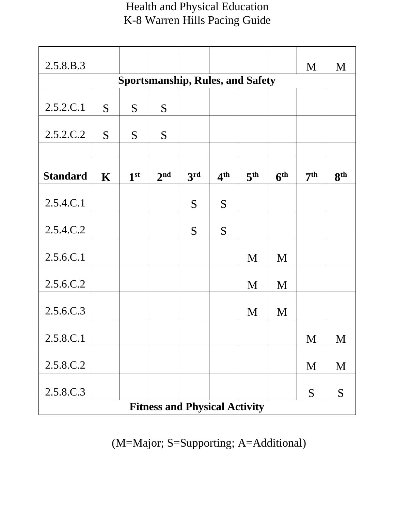| 2.5.8.B.3       |             |                 |                 |                                         |                 |                 |                 | M               | M               |
|-----------------|-------------|-----------------|-----------------|-----------------------------------------|-----------------|-----------------|-----------------|-----------------|-----------------|
|                 |             |                 |                 | <b>Sportsmanship, Rules, and Safety</b> |                 |                 |                 |                 |                 |
|                 |             |                 |                 |                                         |                 |                 |                 |                 |                 |
| 2.5.2.C.1       | S           | S               | S               |                                         |                 |                 |                 |                 |                 |
| 2.5.2.C.2       | S           | S               | S               |                                         |                 |                 |                 |                 |                 |
|                 |             |                 |                 |                                         |                 |                 |                 |                 |                 |
| <b>Standard</b> | $\mathbf K$ | 1 <sup>st</sup> | 2 <sup>nd</sup> | 3rd                                     | 4 <sup>th</sup> | 5 <sup>th</sup> | 6 <sup>th</sup> | 7 <sup>th</sup> | 8 <sup>th</sup> |
| 2.5.4.C.1       |             |                 |                 | S                                       | S               |                 |                 |                 |                 |
| 2.5.4.C.2       |             |                 |                 | S                                       | S               |                 |                 |                 |                 |
| 2.5.6.C.1       |             |                 |                 |                                         |                 | M               | M               |                 |                 |
| 2.5.6.C.2       |             |                 |                 |                                         |                 | M               | M               |                 |                 |
| 2.5.6.C.3       |             |                 |                 |                                         |                 | M               | M               |                 |                 |
| 2.5.8.C.1       |             |                 |                 |                                         |                 |                 |                 | M               | M               |
|                 |             |                 |                 |                                         |                 |                 |                 |                 |                 |
| 2.5.8.C.2       |             |                 |                 |                                         |                 |                 |                 | M               | M               |
| 2.5.8.C.3       |             |                 |                 |                                         |                 |                 |                 | S               | S               |
|                 |             |                 |                 | <b>Fitness and Physical Activity</b>    |                 |                 |                 |                 |                 |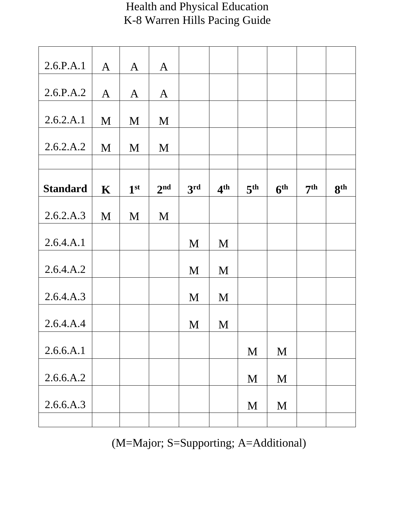| 2.6.P.A.1       | $\mathbf{A}$ | $\mathbf{A}$    | $\mathbf{A}$    |                 |                 |                 |                 |                 |                 |
|-----------------|--------------|-----------------|-----------------|-----------------|-----------------|-----------------|-----------------|-----------------|-----------------|
| 2.6.P.A.2       | $\mathbf{A}$ | $\mathbf{A}$    | $\mathbf{A}$    |                 |                 |                 |                 |                 |                 |
|                 |              |                 |                 |                 |                 |                 |                 |                 |                 |
| 2.6.2.A.1       | M            | M               | M               |                 |                 |                 |                 |                 |                 |
|                 |              |                 |                 |                 |                 |                 |                 |                 |                 |
| 2.6.2.A.2       | M            | M               | M               |                 |                 |                 |                 |                 |                 |
|                 |              |                 |                 |                 |                 |                 |                 |                 |                 |
| <b>Standard</b> | $\mathbf K$  | 1 <sup>st</sup> | 2 <sup>nd</sup> | 3 <sup>rd</sup> | 4 <sup>th</sup> | 5 <sup>th</sup> | 6 <sup>th</sup> | 7 <sup>th</sup> | 8 <sup>th</sup> |
|                 |              |                 |                 |                 |                 |                 |                 |                 |                 |
| 2.6.2.A.3       | M            | M               | M               |                 |                 |                 |                 |                 |                 |
|                 |              |                 |                 |                 |                 |                 |                 |                 |                 |
| 2.6.4.A.1       |              |                 |                 | M               | M               |                 |                 |                 |                 |
| 2.6.4.A.2       |              |                 |                 | M               | M               |                 |                 |                 |                 |
|                 |              |                 |                 |                 |                 |                 |                 |                 |                 |
| 2.6.4.A.3       |              |                 |                 | M               | M               |                 |                 |                 |                 |
|                 |              |                 |                 |                 |                 |                 |                 |                 |                 |
| 2.6.4.A.4       |              |                 |                 | M               | M               |                 |                 |                 |                 |
| 2.6.6.A.1       |              |                 |                 |                 |                 |                 | M               |                 |                 |
|                 |              |                 |                 |                 |                 | M               |                 |                 |                 |
| 2.6.6.A.2       |              |                 |                 |                 |                 | M               | M               |                 |                 |
|                 |              |                 |                 |                 |                 |                 |                 |                 |                 |
| 2.6.6.A.3       |              |                 |                 |                 |                 | M               | M               |                 |                 |
|                 |              |                 |                 |                 |                 |                 |                 |                 |                 |